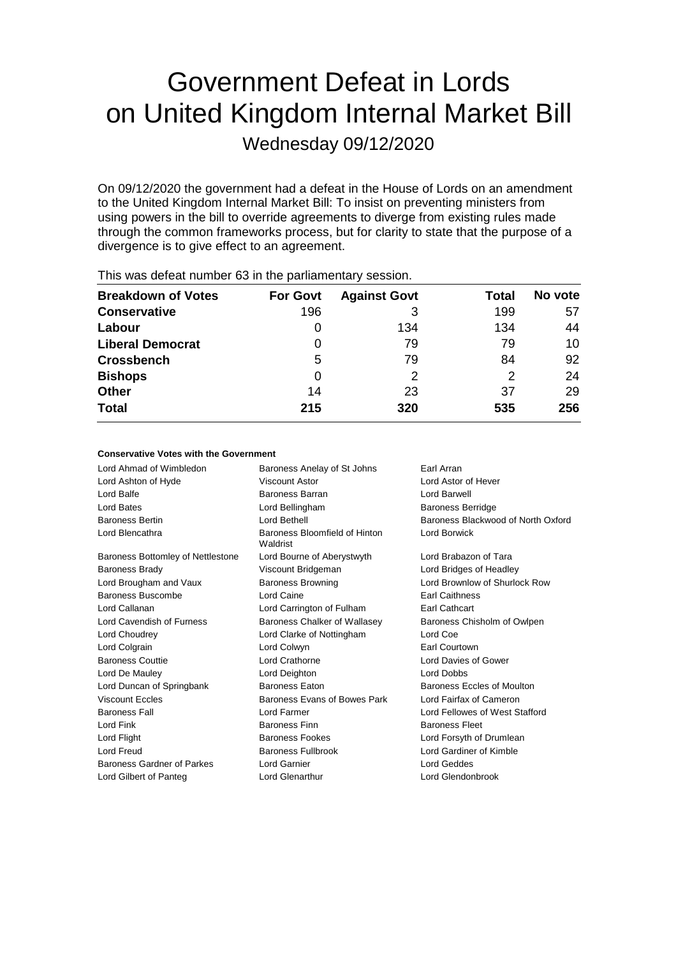# Government Defeat in Lords on United Kingdom Internal Market Bill

Wednesday 09/12/2020

On 09/12/2020 the government had a defeat in the House of Lords on an amendment to the United Kingdom Internal Market Bill: To insist on preventing ministers from using powers in the bill to override agreements to diverge from existing rules made through the common frameworks process, but for clarity to state that the purpose of a divergence is to give effect to an agreement.

| <b>Breakdown of Votes</b> | <b>For Govt</b> | <b>Against Govt</b> | Total | No vote |  |
|---------------------------|-----------------|---------------------|-------|---------|--|
| <b>Conservative</b>       | 196             | З                   | 199   | 57      |  |
| Labour                    | $\Omega$        | 134                 | 134   | 44      |  |
| <b>Liberal Democrat</b>   | 0               | 79                  | 79    | 10      |  |
| <b>Crossbench</b>         | 5               | 79                  | 84    | 92      |  |
| <b>Bishops</b>            | Ω               | 2                   | 2     | 24      |  |
| <b>Other</b>              | 14              | 23                  | 37    | 29      |  |
| <b>Total</b>              | 215             | 320                 | 535   | 256     |  |
|                           |                 |                     |       |         |  |

This was defeat number 63 in the parliamentary session.

| <b>Conservative Votes with the Government</b> |                                           |                                    |  |  |  |
|-----------------------------------------------|-------------------------------------------|------------------------------------|--|--|--|
| Lord Ahmad of Wimbledon                       | Baroness Anelay of St Johns               | Earl Arran                         |  |  |  |
| Lord Ashton of Hyde                           | Viscount Astor                            | Lord Astor of Hever                |  |  |  |
| Lord Balfe                                    | Baroness Barran                           | Lord Barwell                       |  |  |  |
| Lord Bates                                    | Lord Bellingham                           | <b>Baroness Berridge</b>           |  |  |  |
| <b>Baroness Bertin</b>                        | Lord Bethell                              | Baroness Blackwood of North Oxford |  |  |  |
| Lord Blencathra                               | Baroness Bloomfield of Hinton<br>Waldrist | Lord Borwick                       |  |  |  |
| Baroness Bottomley of Nettlestone             | Lord Bourne of Aberystwyth                | Lord Brabazon of Tara              |  |  |  |
| <b>Baroness Brady</b>                         | Viscount Bridgeman                        | Lord Bridges of Headley            |  |  |  |
| Lord Brougham and Vaux                        | <b>Baroness Browning</b>                  | Lord Brownlow of Shurlock Row      |  |  |  |
| Baroness Buscombe                             | Lord Caine                                | <b>Earl Caithness</b>              |  |  |  |
| Lord Callanan                                 | Lord Carrington of Fulham                 | <b>Earl Cathcart</b>               |  |  |  |
| Lord Cavendish of Furness                     | Baroness Chalker of Wallasey              | Baroness Chisholm of Owlpen        |  |  |  |
| Lord Choudrey                                 | Lord Clarke of Nottingham                 | Lord Coe                           |  |  |  |
| Lord Colgrain                                 | Lord Colwyn                               | <b>Earl Courtown</b>               |  |  |  |
| <b>Baroness Couttie</b>                       | Lord Crathorne                            | Lord Davies of Gower               |  |  |  |
| Lord De Mauley                                | Lord Deighton                             | Lord Dobbs                         |  |  |  |
| Lord Duncan of Springbank                     | <b>Baroness Eaton</b>                     | <b>Baroness Eccles of Moulton</b>  |  |  |  |
| <b>Viscount Eccles</b>                        | Baroness Evans of Bowes Park              | Lord Fairfax of Cameron            |  |  |  |
| <b>Baroness Fall</b>                          | Lord Farmer                               | Lord Fellowes of West Stafford     |  |  |  |
| Lord Fink                                     | <b>Baroness Finn</b>                      | <b>Baroness Fleet</b>              |  |  |  |
| Lord Flight                                   | <b>Baroness Fookes</b>                    | Lord Forsyth of Drumlean           |  |  |  |
| Lord Freud                                    | <b>Baroness Fullbrook</b>                 | Lord Gardiner of Kimble            |  |  |  |
| Baroness Gardner of Parkes                    | Lord Garnier                              | Lord Geddes                        |  |  |  |
| Lord Gilbert of Panteg                        | Lord Glenarthur                           | Lord Glendonbrook                  |  |  |  |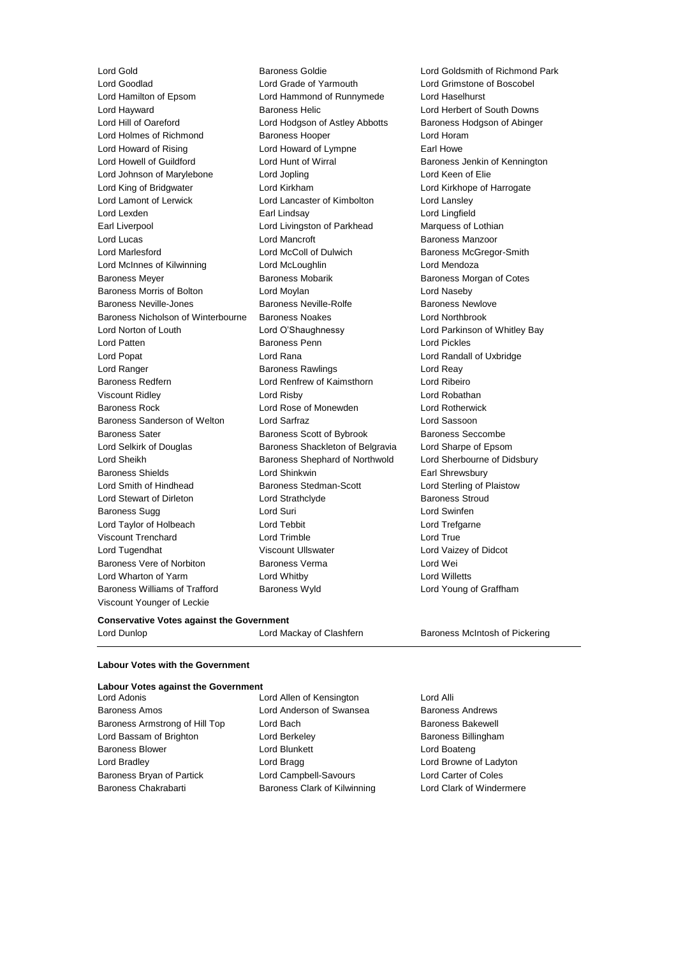Lord Goodlad Lord Grade of Yarmouth Lord Grimstone of Boscobel Lord Hamilton of Epsom Lord Hammond of Runnymede Lord Haselhurst Lord Hayward **Baroness Helic** Lord Herbert of South Downs Lord Hill of Oareford Lord Hodgson of Astley Abbotts Baroness Hodgson of Abinger Lord Holmes of Richmond Baroness Hooper Correct Lord Horam Lord Howard of Rising **Lord Howard of Lympne** Earl Howe Lord Howell of Guildford Lord Hunt of Wirral Baroness Jenkin of Kennington Lord Johnson of Marylebone Lord Jopling Lord Keen of Elie Lord King of Bridgwater Lord Kirkham Lord Kirkhope of Harrogate Lord Lamont of Lerwick Lord Lancaster of Kimbolton Lord Lansley Lord Lexden Earl Lindsay Lord Lingfield Earl Liverpool **Lord Livingston of Parkhead** Marquess of Lothian Lord Lucas Lord Mancroft Baroness Manzoor Lord Marlesford **Lord McColl of Dulwich** Baroness McGregor-Smith Lord McInnes of Kilwinning Lord McLoughlin Lord Mendoza Baroness Meyer **Baroness Mobarik** Baroness Mobarik Baroness Morgan of Cotes Baroness Morris of Bolton Lord Moylan Lord Naseby Baroness Neville-Jones **Baroness Neville-Rolfe** Baroness Newlove Baroness Nicholson of Winterbourne Baroness Noakes Lord Northbrook Lord Norton of Louth Lord O'Shaughnessy Lord Parkinson of Whitley Bay Lord Patten **Baroness Penn** Lord Pickles Lord Popat Lord Rana Lord Randall of Uxbridge Lord Ranger **Baroness Rawlings** Lord Reay Ranger **Lord Reay** Baroness Redfern Lord Renfrew of Kaimsthorn Lord Ribeiro Viscount Ridley Lord Risby Lord Robathan Baroness Rock Lord Rose of Monewden Lord Rotherwick Baroness Sanderson of Welton Lord Sarfraz Lord Sassoon Baroness Sater **Baroness Scott of Bybrook** Baroness Seccombe Lord Selkirk of Douglas Baroness Shackleton of Belgravia Lord Sharpe of Epsom Lord Sheikh **Baroness Shephard of Northwold** Lord Sherbourne of Didsbury Baroness Shields **Earl Shinkwin** Lord Shinkwin **Earl Shrewsbury** Lord Smith of Hindhead Baroness Stedman-Scott Lord Sterling of Plaistow Lord Stewart of Dirleton **Lord Strathclyde** Baroness Stroud Cord Strathclyde Baroness Stroud Baroness Sugg 

Lord Suri Lord Suri Lord Swinfen Lord Taylor of Holbeach Lord Tebbit Lord Trefgarne Viscount Trenchard Lord Trimble Lord True Lord Tugendhat **Viscount Ullswater** Corresponding Viscount Ullswater Corresponding Vaizey of Didcot Baroness Vere of Norbiton Baroness Verma Lord Wei Lord Wharton of Yarm Lord Whitby Lord Willetts Baroness Williams of Trafford Baroness Wyld Lord Young of Graffham Viscount Younger of Leckie

Lord Gold Baroness Goldie Lord Goldsmith of Richmond Park

#### **Conservative Votes against the Government**

Lord Dunlop **Lord Mackay of Clashfern** Baroness McIntosh of Pickering

#### **Labour Votes with the Government**

## **Labour Votes against the Government** Lord Adonis Lord Allen of Kensington Lord Alli Baroness Amos Lord Anderson of Swansea Baroness Andrews Baroness Armstrong of Hill Top Lord Bach Baroness Bakewell Lord Bassam of Brighton **Lord Berkeley Communist Baroness Billingham** Baroness Blower **Lord Blunkett** Lord Bunkett **Lord Boateng** Lord Bradley **Lord Bragg Lord Bragg Lord Browne of Ladyton** Baroness Bryan of Partick Lord Campbell-Savours Lord Carter of Coles Baroness Chakrabarti Baroness Clark of Kilwinning Lord Clark of Windermere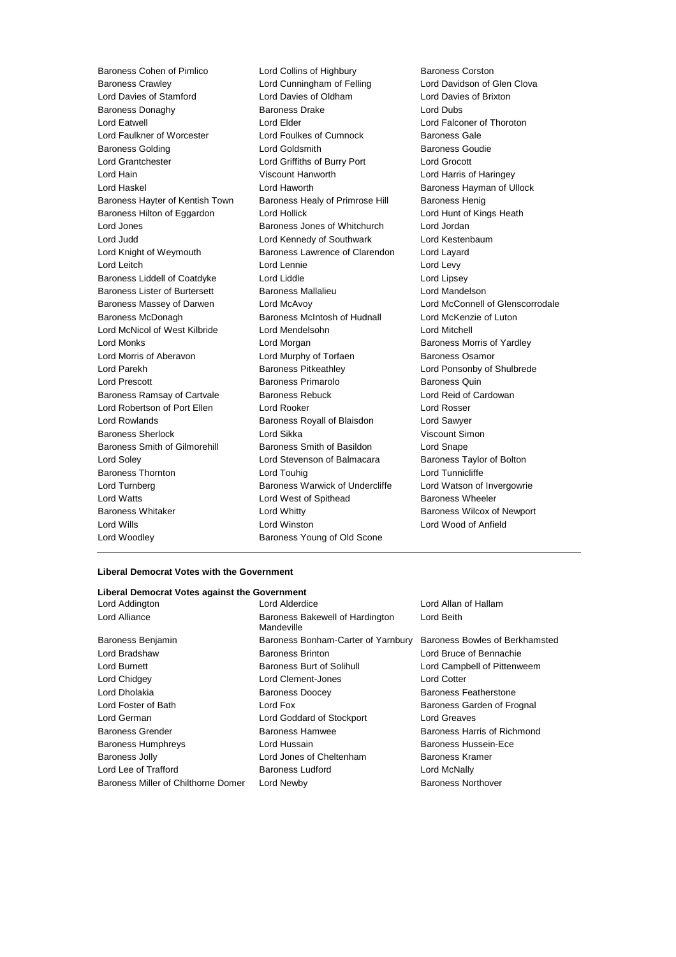Baroness Cohen of Pimlico **Lord Collins of Highbury** Baroness Corston Baroness Crawley Lord Cunningham of Felling Lord Davidson of Glen Clova Lord Davies of Stamford Lord Davies of Oldham Lord Davies of Brixton Baroness Donaghy **Baroness Drake** Lord Dubs Lord Eatwell Lord Elder Lord Falconer of Thoroton Lord Faulkner of Worcester Lord Foulkes of Cumnock Baroness Gale Baroness Golding **Baroness** Goudie Lord Goldsmith **Baroness** Goudie Lord Grantchester Lord Griffiths of Burry Port Lord Grocott Lord Hain Viscount Hanworth Lord Harris of Haringey Lord Haskel Lord Haworth Baroness Hayman of Ullock Baroness Hayter of Kentish Town Baroness Healy of Primrose Hill Baroness Henig Baroness Hilton of Eggardon Lord Hollick Lord Hunt of Kings Heath Lord Jones **Baroness Jones of Whitchurch** Lord Jordan Lord Jordan Lord Judd Lord Kennedy of Southwark Lord Kestenbaum Lord Knight of Weymouth Baroness Lawrence of Clarendon Lord Layard Lord Leitch Lord Lennie Lord Levy Baroness Liddell of Coatdyke Lord Liddle Lord Linesey Baroness Lister of Burtersett Baroness Mallalieu Lord Mandelson Baroness Massey of Darwen Lord McAvoy Lord McConnell of Glenscorrodale Baroness McDonagh Baroness McIntosh of Hudnall Lord McKenzie of Luton Lord McNicol of West Kilbride Lord Mendelsohn Lord Mitchell Lord Monks Lord Morgan Baroness Morris of Yardley Lord Morris of Aberavon **Lord Murphy of Torfaen** Baroness Osamor Lord Parekh **Baroness Pitkeathley Baroness Pitkeathley** Lord Ponsonby of Shulbrede Lord Prescott Baroness Primarolo Baroness Quin Baroness Ramsay of Cartvale Baroness Rebuck Lord Reid of Cardowan Lord Robertson of Port Ellen Lord Rooker Lord Rosser Lord Rowlands Baroness Royall of Blaisdon Lord Sawyer Baroness Sherlock Lord Sikka Viscount Simon Baroness Smith of Gilmorehill Baroness Smith of Basildon Lord Snape Lord Soley Lord Stevenson of Balmacara Baroness Taylor of Bolton Baroness Thornton **Lord Touhig Lord Touhig Lord Tunnicliffe** Lord Turnberg **Baroness Warwick of Undercliffe** Lord Watson of Invergowrie Lord Watts **Lord West of Spithead** Baroness Wheeler Baroness Whitaker **Lord Whitty Lord Whitty** Baroness Wilcox of Newport Lord Wills Lord Winston Lord Wood of Anfield Lord Woodley **Baroness Young of Old Scone** 

#### **Liberal Democrat Votes with the Government**

| Liberal Democrat Votes against the Government |                           |
|-----------------------------------------------|---------------------------|
| Lord Alderdice                                | Lord Allan of Hallam      |
| Baroness Bakewell of Hardington<br>Mandeville | Lord Beith                |
| Baroness Bonham-Carter of Yarnbury            | Baroness Bowles of Berl   |
| <b>Baroness Brinton</b>                       | Lord Bruce of Bennachie   |
| Baroness Burt of Solihull                     | Lord Campbell of Pittenw  |
| Lord Clement-Jones                            | <b>Lord Cotter</b>        |
| <b>Baroness Doocey</b>                        | Baroness Featherstone     |
| Lord Fox                                      | Baroness Garden of Fro    |
| Lord Goddard of Stockport                     | <b>Lord Greaves</b>       |
| Baroness Hamwee                               | Baroness Harris of Richr  |
| Lord Hussain                                  | Baroness Hussein-Ece      |
| Lord Jones of Cheltenham                      | Baroness Kramer           |
| Baroness Ludford                              | Lord McNally              |
| Lord Newby                                    | <b>Baroness Northover</b> |
|                                               |                           |

vles of Berkhamsted II of Pittenweem den of Frognal ris of Richmond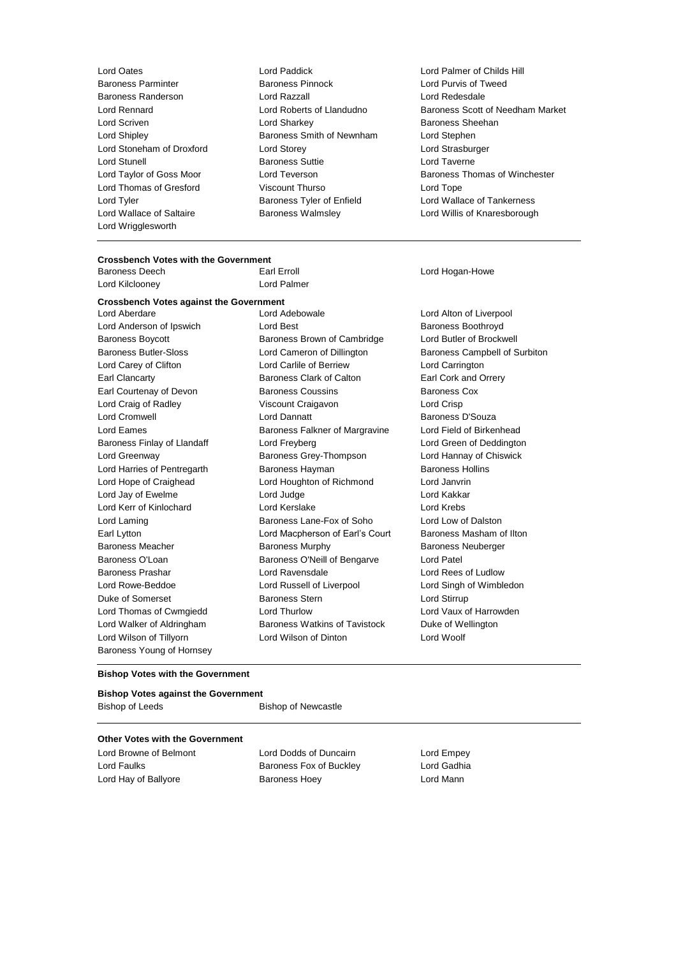Lord Wrigglesworth

- Lord Oates Lord Paddick Lord Palmer of Childs Hill Baroness Randerson Lord Razzall Lord Redesdale Lord Scriven **Lord Sharkey Lord Sharkey Baroness Sheehan** Lord Shipley Baroness Smith of Newnham Lord Stephen Lord Stoneham of Droxford Lord Storey Lord Strasburger Lord Stunell Baroness Suttie Lord Taverne Lord Thomas of Gresford Viscount Thurso Lord Tope Lord Tyler **Baroness Tyler of Enfield** Lord Wallace of Tankerness Corea Lord Wallace of Saltaire Baroness Walmsley Lord Willis of Knaresborough
- Lord Purvis of Tweed Lord Rennard Lord Roberts of Llandudno Baroness Scott of Needham Market Lord Taylor of Goss Moor Lord Teverson **Baroness Thomas of Winchester**

# **Crossbench Votes with the Government**

Baroness Deech **Earl Erroll** Earl Erroll **Earl Erroll** Lord Hogan-Howe Lord Kilclooney Lord Palmer

#### **Crossbench Votes against the Government**

Lord Wilson of Tillyorn Lord Wilson of Dinton Lord Woolf Baroness Young of Hornsey

Lord Aberdare Lord Adebowale Lord Alton of Liverpool Lord Anderson of Ipswich Lord Best **Example 20** Extracts Boothroyd Baroness Boycott **Baroness Brown of Cambridge** Lord Butler of Brockwell Baroness Butler-Sloss Lord Cameron of Dillington Baroness Campbell of Surbiton Lord Carey of Clifton Lord Carlile of Berriew Lord Carrington Earl Clancarty Baroness Clark of Calton Earl Cork and Orrery Earl Courtenay of Devon **Baroness Coussins** Baroness Cox Lord Craig of Radley Viscount Craigavon Lord Crisp Lord Cromwell **Lord Dannatt Baroness D'Souza** Lord Eames **Baroness Falkner of Margravine** Lord Field of Birkenhead Baroness Finlay of Llandaff Lord Freyberg Lord Green of Deddington Lord Greenway Baroness Grey-Thompson Lord Hannay of Chiswick Lord Harries of Pentregarth Baroness Hayman Baroness Hollins Lord Hope of Craighead Lord Houghton of Richmond Lord Janvrin Lord Jay of Ewelme Lord Judge Lord Kakkar Lord Kerr of Kinlochard Lord Kerslake Lord Krebs Lord Laming Baroness Lane-Fox of Soho Lord Low of Dalston Earl Lytton Lord Macpherson of Earl's Court Baroness Masham of Ilton Baroness Meacher Baroness Murphy Baroness Neuberger Baroness O'Loan Baroness O'Neill of Bengarve Lord Patel Baroness Prashar **Lord Ravensdale** Lord Ravensdale Lord Rees of Ludlow Lord Rowe-Beddoe Lord Russell of Liverpool Lord Singh of Wimbledon Duke of Somerset **Baroness Stern Lord Stirrup** Lord Thomas of Cwmgiedd Lord Thurlow Lord Vaux of Harrowden Lord Walker of Aldringham Baroness Watkins of Tavistock Duke of Wellington

#### **Bishop Votes with the Government**

### **Bishop Votes against the Government**

| <b>Bishop of Newcastle</b> |
|----------------------------|
|                            |

### **Other Votes with the Government**

Lord Browne of Belmont Lord Dodds of Duncairn Lord Empey

Lord Faulks Baroness Fox of Buckley Lord Gadhia Lord Hay of Ballyore Baroness Hoey Lord Mann